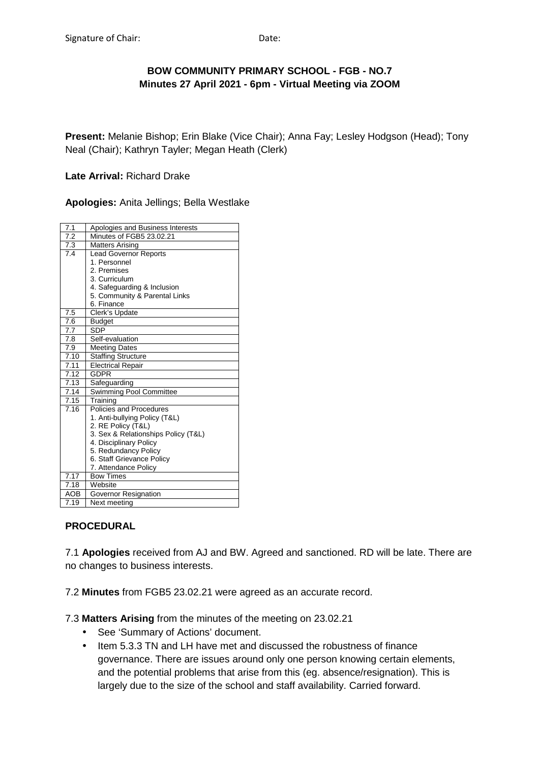# **BOW COMMUNITY PRIMARY SCHOOL - FGB - NO.7 Minutes 27 April 2021 - 6pm - Virtual Meeting via ZOOM**

**Present:** Melanie Bishop; Erin Blake (Vice Chair); Anna Fay; Lesley Hodgson (Head); Tony Neal (Chair); Kathryn Tayler; Megan Heath (Clerk)

#### **Late Arrival:** Richard Drake

**Apologies:** Anita Jellings; Bella Westlake

| 7.1               | Apologies and Business Interests    |
|-------------------|-------------------------------------|
| 7.2               | Minutes of FGB5 23.02.21            |
| 7.3               | <b>Matters Arising</b>              |
| $\overline{7}.4$  | <b>Lead Governor Reports</b>        |
|                   | 1. Personnel                        |
|                   | 2. Premises                         |
|                   | 3. Curriculum                       |
|                   | 4. Safeguarding & Inclusion         |
|                   | 5. Community & Parental Links       |
|                   | 6. Finance                          |
| 7.5               | Clerk's Update                      |
| 7.6               | <b>Budget</b>                       |
| 7.7               | <b>SDP</b>                          |
| 7.8               | Self-evaluation                     |
| 7.9               | <b>Meeting Dates</b>                |
| 7.10              | <b>Staffing Structure</b>           |
| 7.11              | <b>Electrical Repair</b>            |
| 7.12              | GDPR                                |
| 7.13              | Safeguarding                        |
| 7.14              | <b>Swimming Pool Committee</b>      |
| 7.15              | Training                            |
| $\overline{7.16}$ | Policies and Procedures             |
|                   | 1. Anti-bullying Policy (T&L)       |
|                   | 2. RE Policy (T&L)                  |
|                   | 3. Sex & Relationships Policy (T&L) |
|                   | 4. Disciplinary Policy              |
|                   | 5. Redundancy Policy                |
|                   | 6. Staff Grievance Policy           |
|                   | 7. Attendance Policy                |
| 7.17              | <b>Bow Times</b>                    |
| 7.18              | Website                             |
| <b>AOB</b>        | Governor Resignation                |
| 7.19              | Next meetina                        |

## **PROCEDURAL**

7.1 **Apologies** received from AJ and BW. Agreed and sanctioned. RD will be late. There are no changes to business interests.

7.2 **Minutes** from FGB5 23.02.21 were agreed as an accurate record.

7.3 **Matters Arising** from the minutes of the meeting on 23.02.21

- See 'Summary of Actions' document.
- Item 5.3.3 TN and LH have met and discussed the robustness of finance governance. There are issues around only one person knowing certain elements, and the potential problems that arise from this (eg. absence/resignation). This is largely due to the size of the school and staff availability. Carried forward.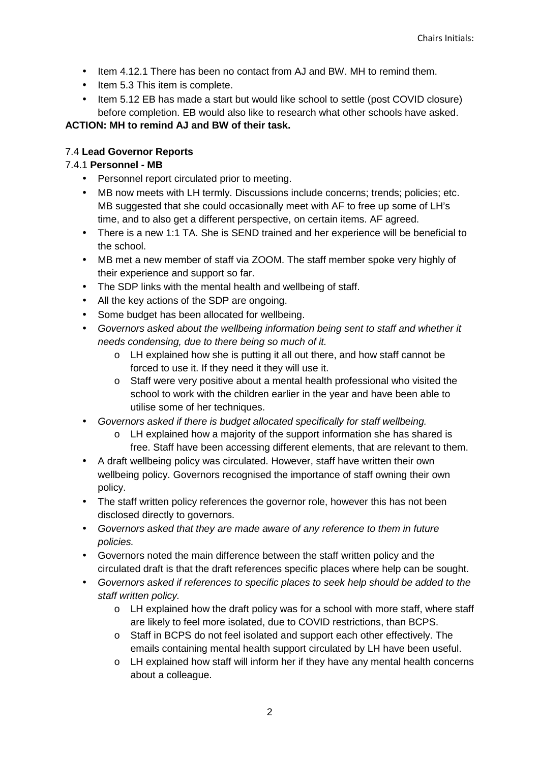- Item 4.12.1 There has been no contact from AJ and BW. MH to remind them.
- Item 5.3 This item is complete.
- Item 5.12 EB has made a start but would like school to settle (post COVID closure) before completion. EB would also like to research what other schools have asked.

# **ACTION: MH to remind AJ and BW of their task.**

# 7.4 **Lead Governor Reports**

# 7.4.1 **Personnel - MB**

- Personnel report circulated prior to meeting.
- MB now meets with LH termly. Discussions include concerns; trends; policies; etc. MB suggested that she could occasionally meet with AF to free up some of LH's time, and to also get a different perspective, on certain items. AF agreed.
- There is a new 1:1 TA. She is SEND trained and her experience will be beneficial to the school.
- MB met a new member of staff via ZOOM. The staff member spoke very highly of their experience and support so far.
- The SDP links with the mental health and wellbeing of staff.
- All the key actions of the SDP are ongoing.
- Some budget has been allocated for wellbeing.
- Governors asked about the wellbeing information being sent to staff and whether it needs condensing, due to there being so much of it.
	- o LH explained how she is putting it all out there, and how staff cannot be forced to use it. If they need it they will use it.
	- o Staff were very positive about a mental health professional who visited the school to work with the children earlier in the year and have been able to utilise some of her techniques.
- Governors asked if there is budget allocated specifically for staff wellbeing.
	- o LH explained how a majority of the support information she has shared is free. Staff have been accessing different elements, that are relevant to them.
- A draft wellbeing policy was circulated. However, staff have written their own wellbeing policy. Governors recognised the importance of staff owning their own policy.
- The staff written policy references the governor role, however this has not been disclosed directly to governors.
- Governors asked that they are made aware of any reference to them in future policies.
- Governors noted the main difference between the staff written policy and the circulated draft is that the draft references specific places where help can be sought.
- Governors asked if references to specific places to seek help should be added to the staff written policy.
	- $\circ$  LH explained how the draft policy was for a school with more staff, where staff are likely to feel more isolated, due to COVID restrictions, than BCPS.
	- o Staff in BCPS do not feel isolated and support each other effectively. The emails containing mental health support circulated by LH have been useful.
	- o LH explained how staff will inform her if they have any mental health concerns about a colleague.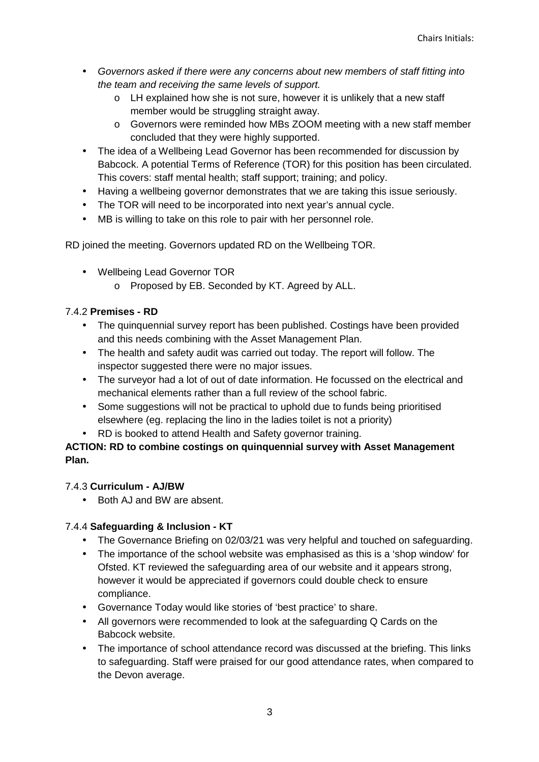- Governors asked if there were any concerns about new members of staff fitting into the team and receiving the same levels of support.
	- o LH explained how she is not sure, however it is unlikely that a new staff member would be struggling straight away.
	- o Governors were reminded how MBs ZOOM meeting with a new staff member concluded that they were highly supported.
- The idea of a Wellbeing Lead Governor has been recommended for discussion by Babcock. A potential Terms of Reference (TOR) for this position has been circulated. This covers: staff mental health; staff support; training; and policy.
- Having a wellbeing governor demonstrates that we are taking this issue seriously.
- The TOR will need to be incorporated into next year's annual cycle.
- MB is willing to take on this role to pair with her personnel role.

RD joined the meeting. Governors updated RD on the Wellbeing TOR.

- Wellbeing Lead Governor TOR
	- o Proposed by EB. Seconded by KT. Agreed by ALL.

# 7.4.2 **Premises - RD**

- The quinquennial survey report has been published. Costings have been provided and this needs combining with the Asset Management Plan.
- The health and safety audit was carried out today. The report will follow. The inspector suggested there were no major issues.
- The surveyor had a lot of out of date information. He focussed on the electrical and mechanical elements rather than a full review of the school fabric.
- Some suggestions will not be practical to uphold due to funds being prioritised elsewhere (eg. replacing the lino in the ladies toilet is not a priority)
- RD is booked to attend Health and Safety governor training.

# **ACTION: RD to combine costings on quinquennial survey with Asset Management Plan.**

# 7.4.3 **Curriculum - AJ/BW**

• Both AJ and BW are absent.

# 7.4.4 **Safeguarding & Inclusion - KT**

- The Governance Briefing on 02/03/21 was very helpful and touched on safeguarding.
- The importance of the school website was emphasised as this is a 'shop window' for Ofsted. KT reviewed the safeguarding area of our website and it appears strong, however it would be appreciated if governors could double check to ensure compliance.
- Governance Today would like stories of 'best practice' to share.
- All governors were recommended to look at the safeguarding Q Cards on the Babcock website.
- The importance of school attendance record was discussed at the briefing. This links to safeguarding. Staff were praised for our good attendance rates, when compared to the Devon average.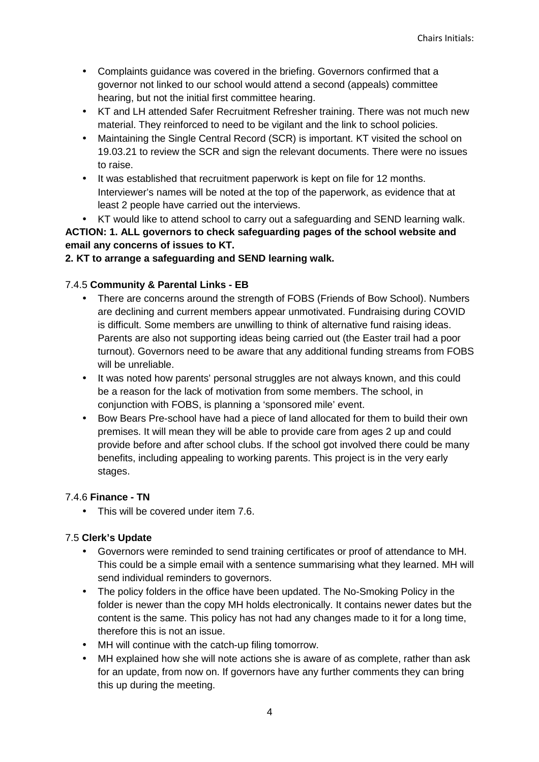- Complaints guidance was covered in the briefing. Governors confirmed that a governor not linked to our school would attend a second (appeals) committee hearing, but not the initial first committee hearing.
- KT and LH attended Safer Recruitment Refresher training. There was not much new material. They reinforced to need to be vigilant and the link to school policies.
- Maintaining the Single Central Record (SCR) is important. KT visited the school on 19.03.21 to review the SCR and sign the relevant documents. There were no issues to raise.
- It was established that recruitment paperwork is kept on file for 12 months. Interviewer's names will be noted at the top of the paperwork, as evidence that at least 2 people have carried out the interviews.
- KT would like to attend school to carry out a safeguarding and SEND learning walk.

**ACTION: 1. ALL governors to check safeguarding pages of the school website and email any concerns of issues to KT.** 

### **2. KT to arrange a safeguarding and SEND learning walk.**

### 7.4.5 **Community & Parental Links - EB**

- There are concerns around the strength of FOBS (Friends of Bow School). Numbers are declining and current members appear unmotivated. Fundraising during COVID is difficult. Some members are unwilling to think of alternative fund raising ideas. Parents are also not supporting ideas being carried out (the Easter trail had a poor turnout). Governors need to be aware that any additional funding streams from FOBS will be unreliable.
- It was noted how parents' personal struggles are not always known, and this could be a reason for the lack of motivation from some members. The school, in conjunction with FOBS, is planning a 'sponsored mile' event.
- Bow Bears Pre-school have had a piece of land allocated for them to build their own premises. It will mean they will be able to provide care from ages 2 up and could provide before and after school clubs. If the school got involved there could be many benefits, including appealing to working parents. This project is in the very early stages.

#### 7.4.6 **Finance - TN**

• This will be covered under item 7.6.

## 7.5 **Clerk's Update**

- Governors were reminded to send training certificates or proof of attendance to MH. This could be a simple email with a sentence summarising what they learned. MH will send individual reminders to governors.
- The policy folders in the office have been updated. The No-Smoking Policy in the folder is newer than the copy MH holds electronically. It contains newer dates but the content is the same. This policy has not had any changes made to it for a long time, therefore this is not an issue.
- MH will continue with the catch-up filing tomorrow.
- MH explained how she will note actions she is aware of as complete, rather than ask for an update, from now on. If governors have any further comments they can bring this up during the meeting.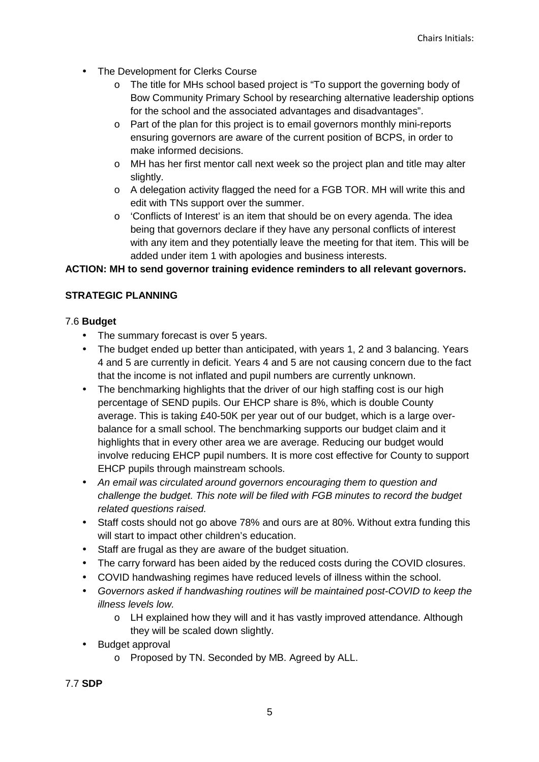- The Development for Clerks Course
	- o The title for MHs school based project is "To support the governing body of Bow Community Primary School by researching alternative leadership options for the school and the associated advantages and disadvantages".
	- o Part of the plan for this project is to email governors monthly mini-reports ensuring governors are aware of the current position of BCPS, in order to make informed decisions.
	- o MH has her first mentor call next week so the project plan and title may alter slightly.
	- o A delegation activity flagged the need for a FGB TOR. MH will write this and edit with TNs support over the summer.
	- $\circ$  'Conflicts of Interest' is an item that should be on every agenda. The idea being that governors declare if they have any personal conflicts of interest with any item and they potentially leave the meeting for that item. This will be added under item 1 with apologies and business interests.

### **ACTION: MH to send governor training evidence reminders to all relevant governors.**

## **STRATEGIC PLANNING**

### 7.6 **Budget**

- The summary forecast is over 5 years.
- The budget ended up better than anticipated, with years 1, 2 and 3 balancing. Years 4 and 5 are currently in deficit. Years 4 and 5 are not causing concern due to the fact that the income is not inflated and pupil numbers are currently unknown.
- The benchmarking highlights that the driver of our high staffing cost is our high percentage of SEND pupils. Our EHCP share is 8%, which is double County average. This is taking £40-50K per year out of our budget, which is a large overbalance for a small school. The benchmarking supports our budget claim and it highlights that in every other area we are average. Reducing our budget would involve reducing EHCP pupil numbers. It is more cost effective for County to support EHCP pupils through mainstream schools.
- An email was circulated around governors encouraging them to question and challenge the budget. This note will be filed with FGB minutes to record the budget related questions raised.
- Staff costs should not go above 78% and ours are at 80%. Without extra funding this will start to impact other children's education.
- Staff are frugal as they are aware of the budget situation.
- The carry forward has been aided by the reduced costs during the COVID closures.
- COVID handwashing regimes have reduced levels of illness within the school.
- Governors asked if handwashing routines will be maintained post-COVID to keep the illness levels low.
	- o LH explained how they will and it has vastly improved attendance. Although they will be scaled down slightly.
- Budget approval
	- o Proposed by TN. Seconded by MB. Agreed by ALL.

7.7 **SDP**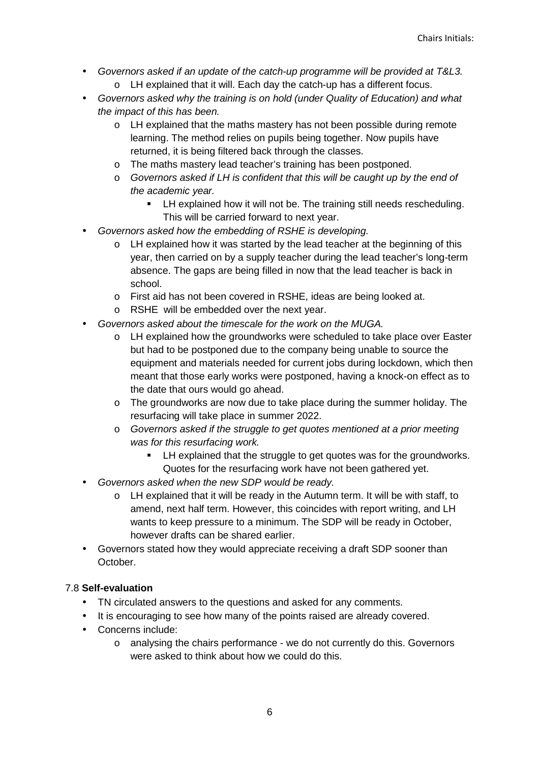- Governors asked if an update of the catch-up programme will be provided at T&L3.
	- o LH explained that it will. Each day the catch-up has a different focus.
- Governors asked why the training is on hold (under Quality of Education) and what the impact of this has been.
	- o LH explained that the maths mastery has not been possible during remote learning. The method relies on pupils being together. Now pupils have returned, it is being filtered back through the classes.
	- o The maths mastery lead teacher's training has been postponed.
	- $\circ$  Governors asked if LH is confident that this will be caught up by the end of the academic year.
		- **EXECT** LH explained how it will not be. The training still needs rescheduling. This will be carried forward to next year.
- Governors asked how the embedding of RSHE is developing.
	- $\circ$  LH explained how it was started by the lead teacher at the beginning of this year, then carried on by a supply teacher during the lead teacher's long-term absence. The gaps are being filled in now that the lead teacher is back in school.
	- o First aid has not been covered in RSHE, ideas are being looked at.
	- o RSHE will be embedded over the next year.
- Governors asked about the timescale for the work on the MUGA.
	- o LH explained how the groundworks were scheduled to take place over Easter but had to be postponed due to the company being unable to source the equipment and materials needed for current jobs during lockdown, which then meant that those early works were postponed, having a knock-on effect as to the date that ours would go ahead.
	- $\circ$  The groundworks are now due to take place during the summer holiday. The resurfacing will take place in summer 2022.
	- $\circ$  Governors asked if the struggle to get quotes mentioned at a prior meeting was for this resurfacing work.
		- LH explained that the struggle to get quotes was for the groundworks. Quotes for the resurfacing work have not been gathered yet.
- Governors asked when the new SDP would be ready.
	- $\circ$  LH explained that it will be ready in the Autumn term. It will be with staff, to amend, next half term. However, this coincides with report writing, and LH wants to keep pressure to a minimum. The SDP will be ready in October, however drafts can be shared earlier.
- Governors stated how they would appreciate receiving a draft SDP sooner than October.

## 7.8 **Self-evaluation**

- TN circulated answers to the questions and asked for any comments.
- It is encouraging to see how many of the points raised are already covered.
- Concerns include:
	- o analysing the chairs performance we do not currently do this. Governors were asked to think about how we could do this.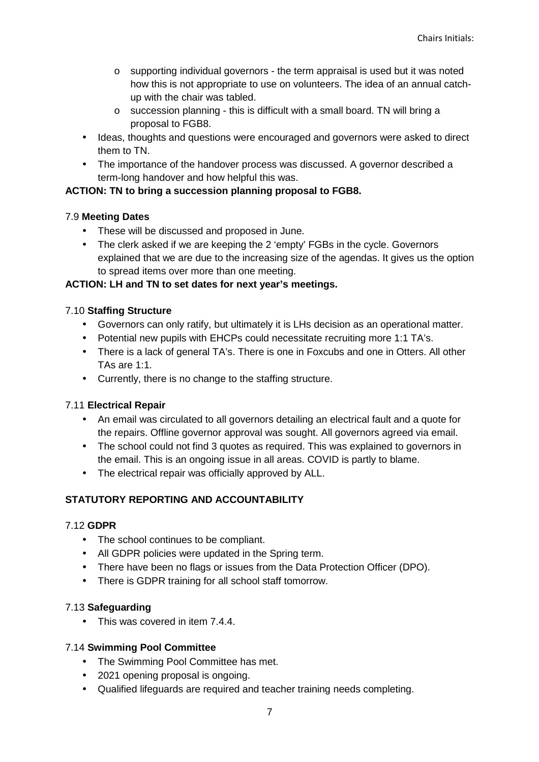- o supporting individual governors the term appraisal is used but it was noted how this is not appropriate to use on volunteers. The idea of an annual catchup with the chair was tabled.
- o succession planning this is difficult with a small board. TN will bring a proposal to FGB8.
- Ideas, thoughts and questions were encouraged and governors were asked to direct them to TN.
- The importance of the handover process was discussed. A governor described a term-long handover and how helpful this was.

### **ACTION: TN to bring a succession planning proposal to FGB8.**

### 7.9 **Meeting Dates**

- These will be discussed and proposed in June.
- The clerk asked if we are keeping the 2 'empty' FGBs in the cycle. Governors explained that we are due to the increasing size of the agendas. It gives us the option to spread items over more than one meeting.

### **ACTION: LH and TN to set dates for next year's meetings.**

### 7.10 **Staffing Structure**

- Governors can only ratify, but ultimately it is LHs decision as an operational matter.
- Potential new pupils with EHCPs could necessitate recruiting more 1:1 TA's.
- There is a lack of general TA's. There is one in Foxcubs and one in Otters. All other TAs are 1:1.
- Currently, there is no change to the staffing structure.

## 7.11 **Electrical Repair**

- An email was circulated to all governors detailing an electrical fault and a quote for the repairs. Offline governor approval was sought. All governors agreed via email.
- The school could not find 3 quotes as required. This was explained to governors in the email. This is an ongoing issue in all areas. COVID is partly to blame.
- The electrical repair was officially approved by ALL.

## **STATUTORY REPORTING AND ACCOUNTABILITY**

#### 7.12 **GDPR**

- The school continues to be compliant.
- All GDPR policies were updated in the Spring term.
- There have been no flags or issues from the Data Protection Officer (DPO).
- There is GDPR training for all school staff tomorrow.

#### 7.13 **Safeguarding**

• This was covered in item 7.4.4.

#### 7.14 **Swimming Pool Committee**

- The Swimming Pool Committee has met.
- 2021 opening proposal is ongoing.
- Qualified lifeguards are required and teacher training needs completing.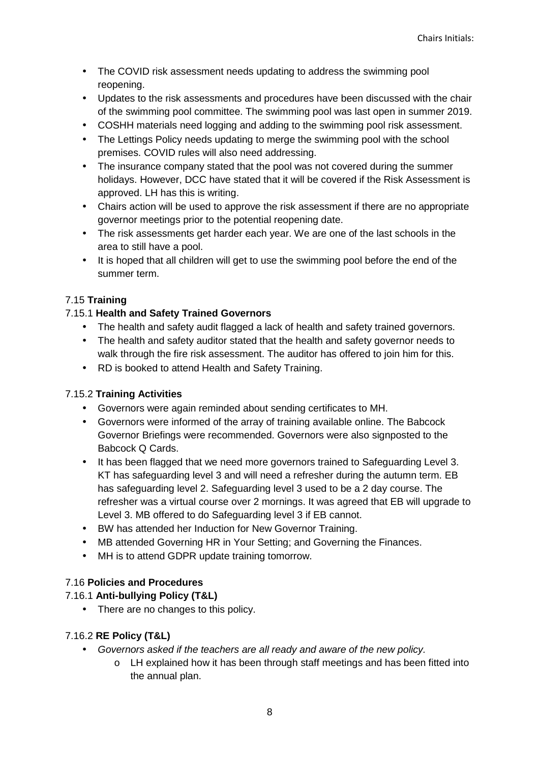- The COVID risk assessment needs updating to address the swimming pool reopening.
- Updates to the risk assessments and procedures have been discussed with the chair of the swimming pool committee. The swimming pool was last open in summer 2019.
- COSHH materials need logging and adding to the swimming pool risk assessment.
- The Lettings Policy needs updating to merge the swimming pool with the school premises. COVID rules will also need addressing.
- The insurance company stated that the pool was not covered during the summer holidays. However, DCC have stated that it will be covered if the Risk Assessment is approved. LH has this is writing.
- Chairs action will be used to approve the risk assessment if there are no appropriate governor meetings prior to the potential reopening date.
- The risk assessments get harder each year. We are one of the last schools in the area to still have a pool.
- It is hoped that all children will get to use the swimming pool before the end of the summer term.

# 7.15 **Training**

# 7.15.1 **Health and Safety Trained Governors**

- The health and safety audit flagged a lack of health and safety trained governors.
- The health and safety auditor stated that the health and safety governor needs to walk through the fire risk assessment. The auditor has offered to join him for this.
- RD is booked to attend Health and Safety Training.

# 7.15.2 **Training Activities**

- Governors were again reminded about sending certificates to MH.
- Governors were informed of the array of training available online. The Babcock Governor Briefings were recommended. Governors were also signposted to the Babcock Q Cards.
- It has been flagged that we need more governors trained to Safeguarding Level 3. KT has safeguarding level 3 and will need a refresher during the autumn term. EB has safeguarding level 2. Safeguarding level 3 used to be a 2 day course. The refresher was a virtual course over 2 mornings. It was agreed that EB will upgrade to Level 3. MB offered to do Safeguarding level 3 if EB cannot.
- BW has attended her Induction for New Governor Training.
- MB attended Governing HR in Your Setting; and Governing the Finances.
- MH is to attend GDPR update training tomorrow.

## 7.16 **Policies and Procedures**

# 7.16.1 **Anti-bullying Policy (T&L)**

• There are no changes to this policy.

## 7.16.2 **RE Policy (T&L)**

- Governors asked if the teachers are all ready and aware of the new policy.
	- o LH explained how it has been through staff meetings and has been fitted into the annual plan.